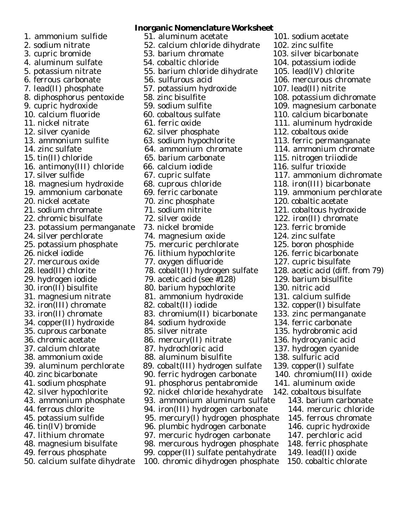29. hydrogen iodide 79. acetic acid (see  $\text{\#128}$ ) 50. calcium sulfate dihydrate 100. chromic dihydrogen phosphate 150. cobaltic chlorate

## **Inorganic Nomenclature Worksheet** 1. ammonium sulfide 51. aluminum acetate 101. sodium acetate 2. sodium nitrate 52. calcium chloride dihydrate 102. zinc sulfite 3. cupric bromide 53. barium chromate 103. silver bicarbonate 4. aluminum sulfate 54. cobaltic chloride 104. potassium iodide 5. potassium nitrate 55. barium chloride dihydrate 105. lead(IV) chlorite 6. ferrous carbonate 56. sulfurous acid 106. mercurous chromate 7. lead(II) phosphate 57. potassium hydroxide 107. lead(II) nitrite 8. diphosphorus pentoxide 58. zinc bisulfite 108. potassium dichromate<br>109. magnesium carbonate 59. sodium sulfite 109. magnesium carbonate 9. cupric hydroxide 59. sodium sulfite 109. magnesium carbonate 10. calcium fluoride 60. cobaltous sulfate 110. calcium bicarbonate 11. nickel nitrate 61. ferric oxide 111. aluminum hydroxide 12. silver cyanide 62. silver phosphate 112. cobaltous oxide 13. ammonium sulfite 63. sodium hypochlorite 113. ferric permanganate<br>14. zinc sulfate 64. ammonium chromate 114. ammonium chromate 14. zinc sulfate 64. ammonium chromate 114. ammonium chromate<br>15. tin(II) chloride 65. barium carbonate 115. nitrogen triiodide 15. tin(II) chloride 65. barium carbonate 115. nitrogen triiodide 16. antimony(III) chloride 66. calcium iodide 116. sulfur trioxide 17. silver sulfide 67. cupric sulfate 117. ammonium dichromate 18. magnesium hydroxide 68. cuprous chloride 118. iron(III) bicarbonate 19. ammonium carbonate 69. ferric carbonate 119. ammonium perchlorate 20. nickel acetate 70. zinc phosphate 120. cobaltic acetate 21. sodium chromate 71. sodium nitrite 121. cobaltous hydroxide 22. chromic bisulfate 72. silver oxide 122. iron(II) chromate 23. potassium permanganate 73. nickel bromide 123. ferric bromide 24. silver perchlorate 74. magnesium oxide 124. zinc sulfate 25. potassium phosphate 75. mercuric perchlorate 125. boron phosphide<br>26. nickel iodide 76. lithium hypochlorite 126. ferric bicarbonate 76. lithium hypochlorite 27. mercurous oxide 77. oxygen difluoride 127. cupric bisulfate 28. lead(II) chlorite 78. cobalt(II) hydrogen sulfate 128. acetic acid (diff. from 79) 30. iron(II) bisulfite 80. barium hypochlorite 130. nitric acid 31. magnesium nitrate  $\begin{array}{r} 81. \text{ ammonium hydroxide} \ 32. \text{iron(III)} \text{chromate} \ 82. \text{ cobalt(II)} \text{ iodide} \ 132. \text{ copper(I)} \text{ bisulfa} \end{array}$ 82. cobalt(II) iodide 132. copper(I) bisulfate 33. iron(II) chromate 83. chromium(II) bicarbonate 133. zinc permanganate 34. copper(II) hydroxide 84. sodium hydroxide 134. ferric carbonate 35. cuprous carbonate 85. silver nitrate 135. hydrobromic acid 36. chromic acetate 86. mercury(II) nitrate 136. hydrocyanic acid 37. calcium chlorate 87. hydrochloric acid 137. hydrogen cyanide 38. ammonium oxide 88. aluminum bisulfite 138. sulfuric acid 39. aluminum perchlorate 89. cobalt(III) hydrogen sulfate 139. copper(I) sulfate 40. zinc bicarbonate 90. ferric hydrogen carbonate 140. chromium(III) oxide 41. sodium phosphate 91. phosphorus pentabromide 141. aluminum oxide<br>42. silver hypochlorite 92. nickel chloride hexahydrate 142. cobaltous bisulfat 92. nickel chloride hexahydrate 142. cobaltous bisulfate<br>93. ammonium aluminum sulfate 143. barium carbonate 43. ammonium phosphate 93. ammonium aluminum sulfate<br>44. ferrous chlorite 94. iron(III) hydrogen carbonate 94. iron(III) hydrogen carbonate 144. mercuric chloride 45. potassium sulfide 95. mercury(I) hydrogen phosphate 145. ferrous chromate 46. tin(IV) bromide 96. plumbic hydrogen carbonate 146. cupric hydroxide 47. lithium chromate 97. mercuric hydrogen carbonate 147. perchloric acid 48. magnesium bisulfate 98. mercurous hydrogen phosphate 148. ferric phosphate 49. ferrous phosphate 99. copper(II) sulfate pentahydrate 149. lead(II) oxide

- 
- 
-